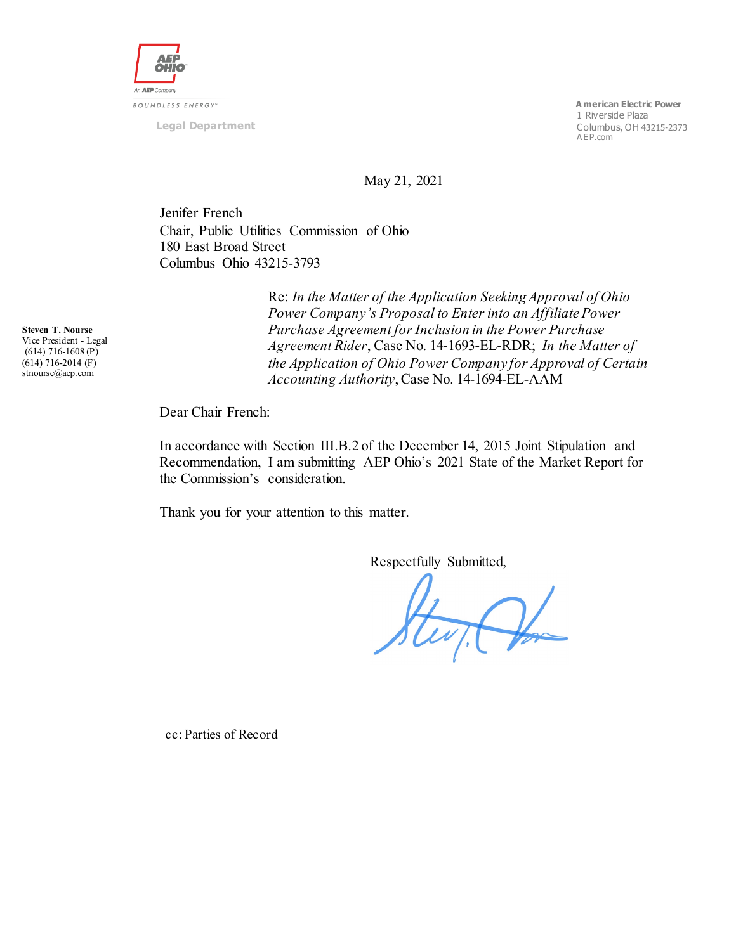

**Legal Department**

 **A merican Electric Power** 1 Riverside Plaza Columbus, OH 43215-2373 A EP.com

May 21, 2021

Jenifer French Chair, Public Utilities Commission of Ohio 180 East Broad Street Columbus Ohio 43215-3793

> Re: *In the Matter of the Application Seeking Approval of Ohio Power Company's Proposal to Enter into an Affiliate Power Purchase Agreement for Inclusion in the Power Purchase Agreement Rider*, Case No. 14-1693-EL-RDR; *In the Matter of the Application of Ohio Power Company for Approval of Certain Accounting Authority*, Case No. 14-1694-EL-AAM

Dear Chair French:

In accordance with Section III.B.2 of the December 14, 2015 Joint Stipulation and Recommendation, I am submitting AEP Ohio's 2021 State of the Market Report for the Commission's consideration.

Thank you for your attention to this matter.

Respectfully Submitted,

Stevit Por

cc: Parties of Record

**Steven T. Nourse** Vice President - Legal (614) 716-1608 (P) (614) 716-2014 (F) stnourse@aep.com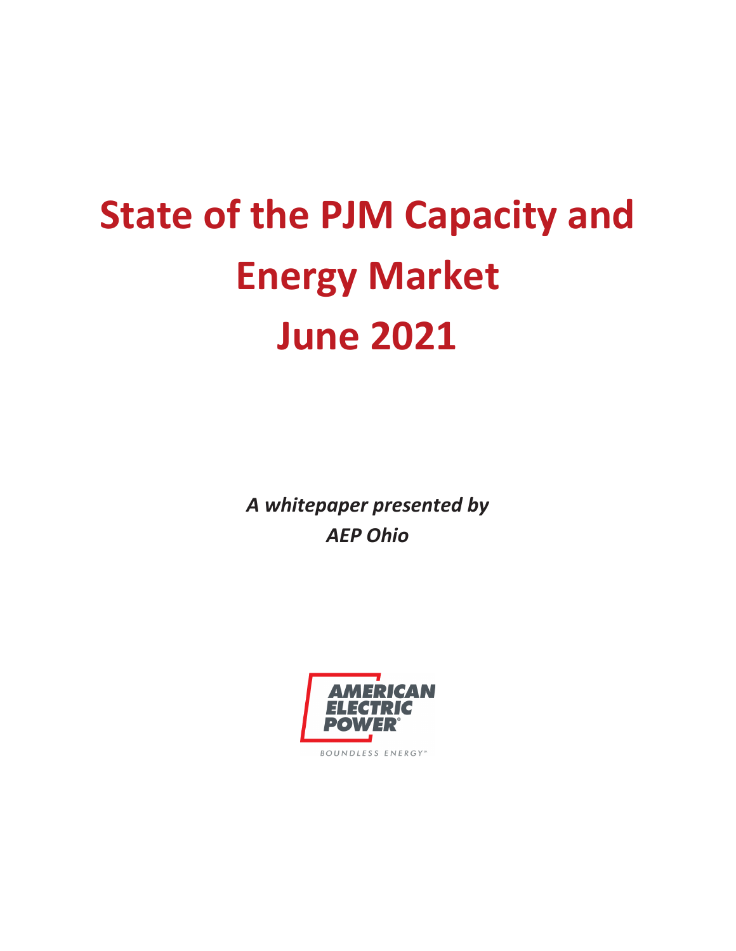# **State of the PJM Capacity and Energy Market June 2021**

*A whitepaper presented by AEP Ohio* 

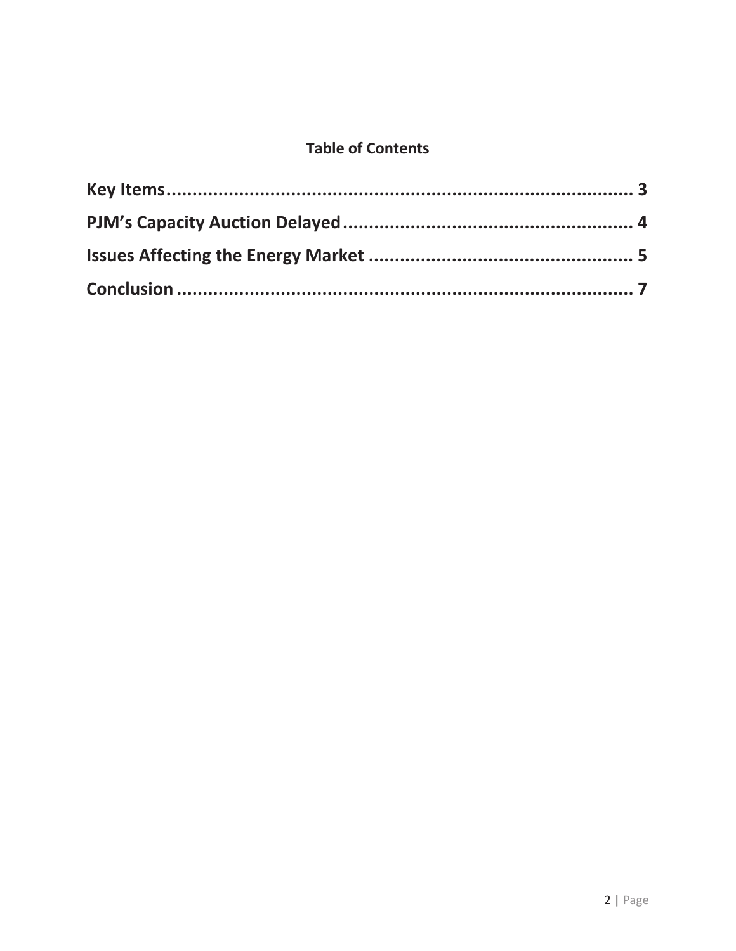#### **Table of Contents**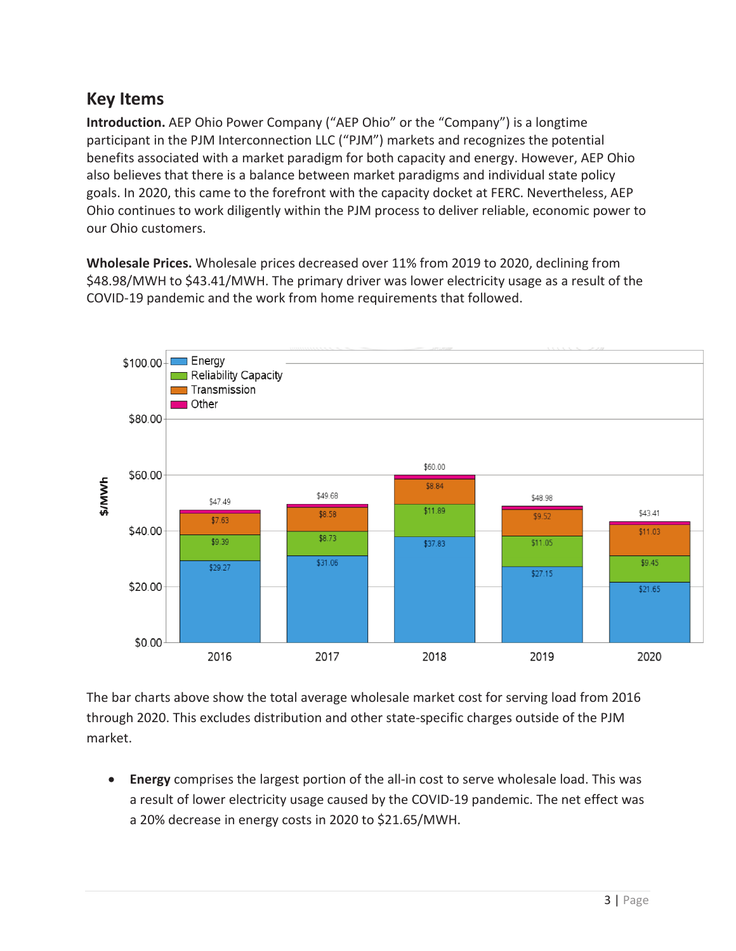#### **Key Items**

**Introduction.** AEP Ohio Power Company ("AEP Ohio" or the "Company") is a longtime participant in the PJM Interconnection LLC ("PJM") markets and recognizes the potential benefits associated with a market paradigm for both capacity and energy. However, AEP Ohio also believes that there is a balance between market paradigms and individual state policy goals. In 2020, this came to the forefront with the capacity docket at FERC. Nevertheless, AEP Ohio continues to work diligently within the PJM process to deliver reliable, economic power to our Ohio customers.

**Wholesale Prices.** Wholesale prices decreased over 11% from 2019 to 2020, declining from \$48.98/MWH to \$43.41/MWH. The primary driver was lower electricity usage as a result of the COVID-19 pandemic and the work from home requirements that followed.



The bar charts above show the total average wholesale market cost for serving load from 2016 through 2020. This excludes distribution and other state-specific charges outside of the PJM market.

**Energy** comprises the largest portion of the all-in cost to serve wholesale load. This was a result of lower electricity usage caused by the COVID-19 pandemic. The net effect was a 20% decrease in energy costs in 2020 to \$21.65/MWH.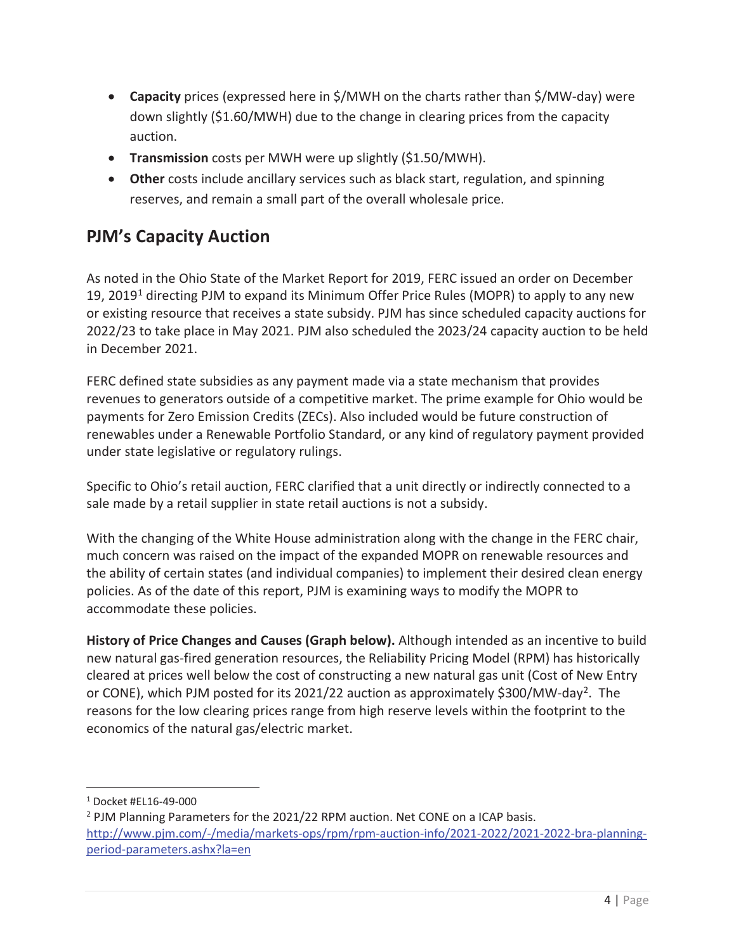- **Capacity** prices (expressed here in \$/MWH on the charts rather than \$/MW-day) were down slightly (\$1.60/MWH) due to the change in clearing prices from the capacity auction.
- **Transmission** costs per MWH were up slightly (\$1.50/MWH).
- **Other** costs include ancillary services such as black start, regulation, and spinning reserves, and remain a small part of the overall wholesale price.

# **PJM's Capacity Auction**

As noted in the Ohio State of the Market Report for 2019, FERC issued an order on December 19, 2019<sup>1</sup> directing PJM to expand its Minimum Offer Price Rules (MOPR) to apply to any new or existing resource that receives a state subsidy. PJM has since scheduled capacity auctions for 2022/23 to take place in May 2021. PJM also scheduled the 2023/24 capacity auction to be held in December 2021.

FERC defined state subsidies as any payment made via a state mechanism that provides revenues to generators outside of a competitive market. The prime example for Ohio would be payments for Zero Emission Credits (ZECs). Also included would be future construction of renewables under a Renewable Portfolio Standard, or any kind of regulatory payment provided under state legislative or regulatory rulings.

Specific to Ohio's retail auction, FERC clarified that a unit directly or indirectly connected to a sale made by a retail supplier in state retail auctions is not a subsidy.

With the changing of the White House administration along with the change in the FERC chair, much concern was raised on the impact of the expanded MOPR on renewable resources and the ability of certain states (and individual companies) to implement their desired clean energy policies. As of the date of this report, PJM is examining ways to modify the MOPR to accommodate these policies.

**History of Price Changes and Causes (Graph below).** Although intended as an incentive to build new natural gas-fired generation resources, the Reliability Pricing Model (RPM) has historically cleared at prices well below the cost of constructing a new natural gas unit (Cost of New Entry or CONE), which PJM posted for its 2021/22 auction as approximately \$300/MW-day<sup>2</sup>. The reasons for the low clearing prices range from high reserve levels within the footprint to the economics of the natural gas/electric market.

 $\overline{a}$ 

<sup>1</sup> Docket #EL16-49-000

<sup>&</sup>lt;sup>2</sup> PJM Planning Parameters for the 2021/22 RPM auction. Net CONE on a ICAP basis. http://www.pjm.com/-/media/markets-ops/rpm/rpm-auction-info/2021-2022/2021-2022-bra-planningperiod-parameters.ashx?la=en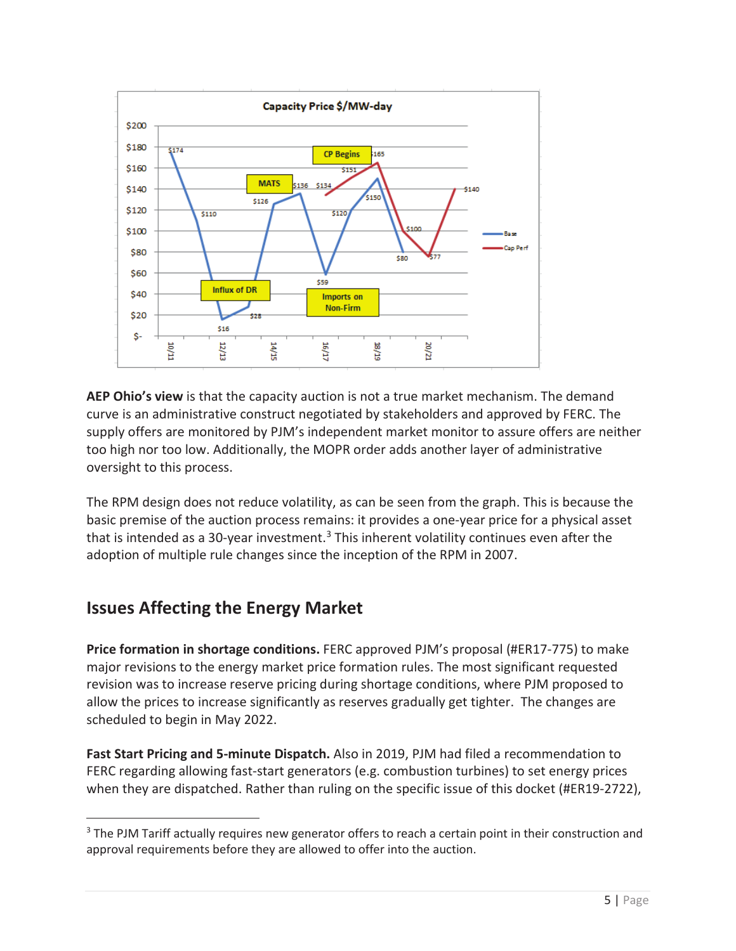

**AEP Ohio's view** is that the capacity auction is not a true market mechanism. The demand curve is an administrative construct negotiated by stakeholders and approved by FERC. The supply offers are monitored by PJM's independent market monitor to assure offers are neither too high nor too low. Additionally, the MOPR order adds another layer of administrative oversight to this process.

The RPM design does not reduce volatility, as can be seen from the graph. This is because the basic premise of the auction process remains: it provides a one-year price for a physical asset that is intended as a 30-year investment.<sup>3</sup> This inherent volatility continues even after the adoption of multiple rule changes since the inception of the RPM in 2007.

### **Issues Affecting the Energy Market**

**Price formation in shortage conditions.** FERC approved PJM's proposal (#ER17-775) to make major revisions to the energy market price formation rules. The most significant requested revision was to increase reserve pricing during shortage conditions, where PJM proposed to allow the prices to increase significantly as reserves gradually get tighter. The changes are scheduled to begin in May 2022.

**Fast Start Pricing and 5-minute Dispatch.** Also in 2019, PJM had filed a recommendation to FERC regarding allowing fast-start generators (e.g. combustion turbines) to set energy prices when they are dispatched. Rather than ruling on the specific issue of this docket (#ER19-2722),

<sup>&</sup>lt;sup>3</sup> The PJM Tariff actually requires new generator offers to reach a certain point in their construction and approval requirements before they are allowed to offer into the auction.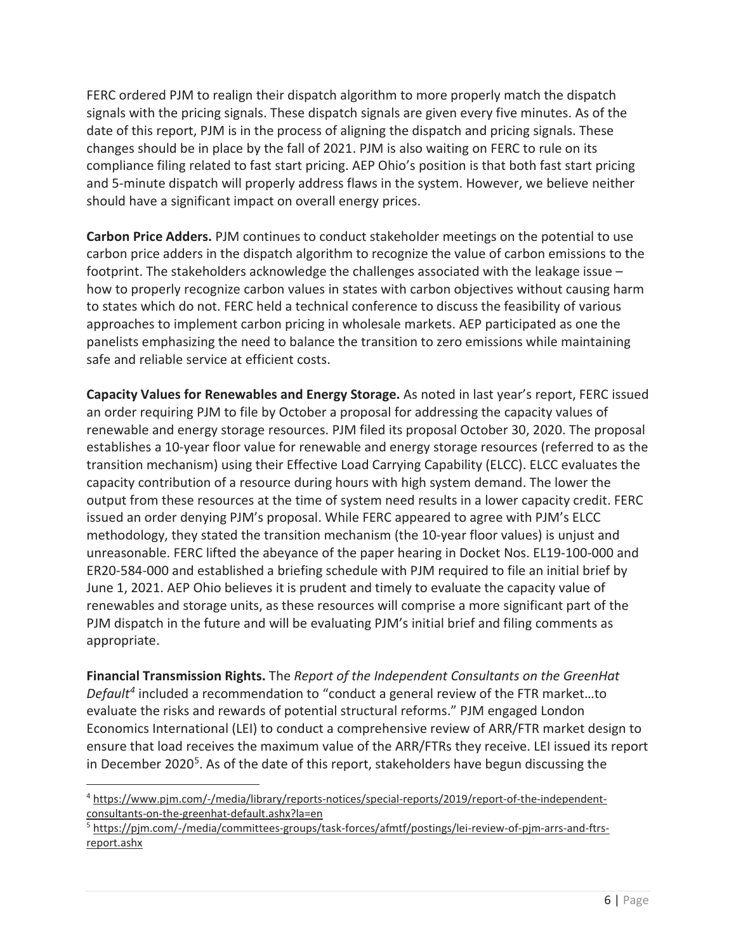FERC ordered PJM to realign their dispatch algorithm to more properly match the dispatch signals with the pricing signals. These dispatch signals are given every five minutes. As of the date of this report, PJM is in the process of aligning the dispatch and pricing signals. These changes should be in place by the fall of 2021. PJM is also waiting on FERC to rule on its compliance filing related to fast start pricing. AEP Ohio's position is that both fast start pricing and 5-minute dispatch will properly address flaws in the system. However, we believe neither should have a significant impact on overall energy prices.

**Carbon Price Adders.** PJM continues to conduct stakeholder meetings on the potential to use carbon price adders in the dispatch algorithm to recognize the value of carbon emissions to the footprint. The stakeholders acknowledge the challenges associated with the leakage issue – how to properly recognize carbon values in states with carbon objectives without causing harm to states which do not. FERC held a technical conference to discuss the feasibility of various approaches to implement carbon pricing in wholesale markets. AEP participated as one the panelists emphasizing the need to balance the transition to zero emissions while maintaining safe and reliable service at efficient costs.

**Capacity Values for Renewables and Energy Storage.** As noted in last year's report, FERC issued an order requiring PJM to file by October a proposal for addressing the capacity values of renewable and energy storage resources. PJM filed its proposal October 30, 2020. The proposal establishes a 10-year floor value for renewable and energy storage resources (referred to as the transition mechanism) using their Effective Load Carrying Capability (ELCC). ELCC evaluates the capacity contribution of a resource during hours with high system demand. The lower the output from these resources at the time of system need results in a lower capacity credit. FERC issued an order denying PJM's proposal. While FERC appeared to agree with PJM's ELCC methodology, they stated the transition mechanism (the 10-year floor values) is unjust and unreasonable. FERC lifted the abeyance of the paper hearing in Docket Nos. EL19-100-000 and ER20-584-000 and established a briefing schedule with PJM required to file an initial brief by June 1, 2021. AEP Ohio believes it is prudent and timely to evaluate the capacity value of renewables and storage units, as these resources will comprise a more significant part of the PJM dispatch in the future and will be evaluating PJM's initial brief and filing comments as appropriate.

**Financial Transmission Rights.** The *Report of the Independent Consultants on the GreenHat Default4* included a recommendation to "conduct a general review of the FTR market…to evaluate the risks and rewards of potential structural reforms." PJM engaged London Economics International (LEI) to conduct a comprehensive review of ARR/FTR market design to ensure that load receives the maximum value of the ARR/FTRs they receive. LEI issued its report in December 2020<sup>5</sup>. As of the date of this report, stakeholders have begun discussing the

 $\overline{a}$ 

<sup>4</sup> https://www.pjm.com/-/media/library/reports-notices/special-reports/2019/report-of-the-independentconsultants-on-the-greenhat-default.ashx?la=en

<sup>&</sup>lt;sup>5</sup> https://pjm.com/-/media/committees-groups/task-forces/afmtf/postings/lei-review-of-pjm-arrs-and-ftrsreport.ashx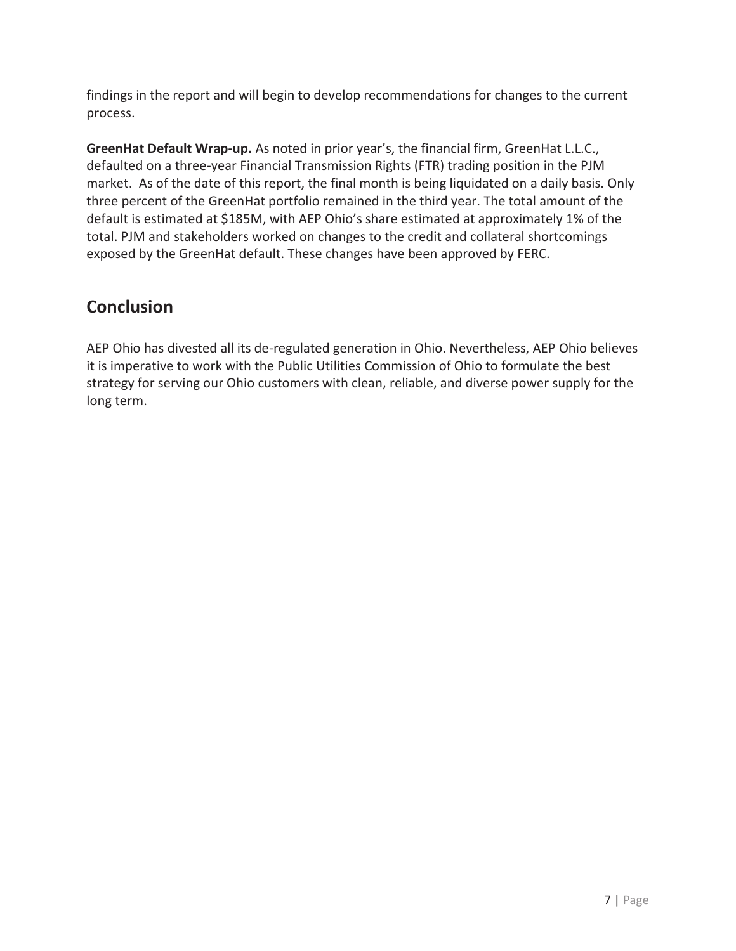findings in the report and will begin to develop recommendations for changes to the current process.

**GreenHat Default Wrap-up.** As noted in prior year's, the financial firm, GreenHat L.L.C., defaulted on a three-year Financial Transmission Rights (FTR) trading position in the PJM market. As of the date of this report, the final month is being liquidated on a daily basis. Only three percent of the GreenHat portfolio remained in the third year. The total amount of the default is estimated at \$185M, with AEP Ohio's share estimated at approximately 1% of the total. PJM and stakeholders worked on changes to the credit and collateral shortcomings exposed by the GreenHat default. These changes have been approved by FERC.

# **Conclusion**

AEP Ohio has divested all its de-regulated generation in Ohio. Nevertheless, AEP Ohio believes it is imperative to work with the Public Utilities Commission of Ohio to formulate the best strategy for serving our Ohio customers with clean, reliable, and diverse power supply for the long term.